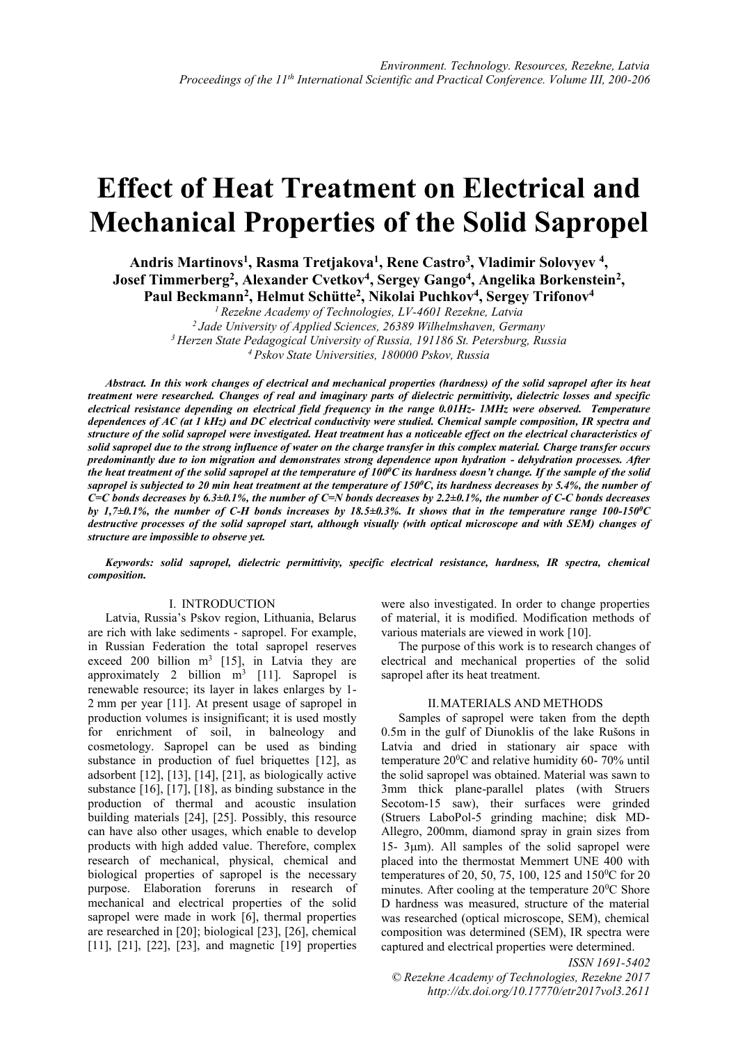# **Effect of Heat Treatment on Electrical and Mechanical Properties of the Solid Sapropel**

**Andris Martinovs<sup>1</sup> , Rasma Tretjakova<sup>1</sup> , Rene Castro<sup>3</sup> , Vladimir Solovyev <sup>4</sup> , Josef Timmerberg<sup>2</sup> , Alexander Cvetkov<sup>4</sup> , Sergey Gango<sup>4</sup> , Angelika Borkenstein<sup>2</sup> , Paul Beckmann<sup>2</sup> , Helmut Schütte<sup>2</sup> , Nikolai Puchkov<sup>4</sup> , Sergey Trifonov<sup>4</sup>**

*<sup>1</sup>Rezekne Academy of Technologies, LV-4601 Rezekne, Latvia <sup>2</sup>Jade University of Applied Sciences, 26389 Wilhelmshaven, Germany <sup>3</sup>Herzen State Pedagogical University of Russia, 191186 St. Petersburg, Russia*

*<sup>4</sup>Pskov State Universities, 180000 Pskov, Russia*

*Abstract. In this work changes of electrical and mechanical properties (hardness) of the solid sapropel after its heat treatment were researched. Changes of real and imaginary parts of dielectric permittivity, dielectric losses and specific electrical resistance depending on electrical field frequency in the range 0.01Hz- 1MHz were observed. Temperature dependences of AC (at 1 kHz) and DC electrical conductivity were studied. Chemical sample composition, IR spectra and structure of the solid sapropel were investigated. Heat treatment has a noticeable effect on the electrical characteristics of solid sapropel due to the strong influence of water on the charge transfer in this complex material. Charge transfer occurs predominantly due to ion migration and demonstrates strong dependence upon hydration - dehydration processes. After the heat treatment of the solid sapropel at the temperature of 100<sup>0</sup>C its hardness doesn't change. If the sample of the solid sapropel is subjected to 20 min heat treatment at the temperature of 150<sup>0</sup>C, its hardness decreases by 5.4%, the number of C=C bonds decreases by 6.3±0.1%, the number of C=N bonds decreases by 2.2±0.1%, the number of C-C bonds decreases by 1,7±0.1%, the number of C-H bonds increases by 18.5±0.3%. It shows that in the temperature range 100-150<sup>0</sup>C destructive processes of the solid sapropel start, although visually (with optical microscope and with SEM) changes of structure are impossible to observe yet.*

*Keywords: solid sapropel, dielectric permittivity, specific electrical resistance, hardness, IR spectra, chemical composition.*

## I. INTRODUCTION

Latvia, Russia's Pskov region, Lithuania, Belarus are rich with lake sediments - sapropel. For example, in Russian Federation the total sapropel reserves exceed 200 billion  $m^3$  [15], in Latvia they are approximately 2 billion  $m^3$  [11]. Sapropel is renewable resource; its layer in lakes enlarges by 1- 2 mm per year [11]. At present usage of sapropel in production volumes is insignificant; it is used mostly for enrichment of soil, in balneology and cosmetology. Sapropel can be used as binding substance in production of fuel briquettes [12], as adsorbent [12], [13], [14], [21], as biologically active substance [16], [17], [18], as binding substance in the production of thermal and acoustic insulation building materials [24], [25]. Possibly, this resource can have also other usages, which enable to develop products with high added value. Therefore, complex research of mechanical, physical, chemical and biological properties of sapropel is the necessary purpose. Elaboration foreruns in research of mechanical and electrical properties of the solid sapropel were made in work [6], thermal properties are researched in [20]; biological [23], [26], chemical [11], [21], [22], [23], and magnetic [19] properties were also investigated. In order to change properties of material, it is modified. Modification methods of various materials are viewed in work [10].

The purpose of this work is to research changes of electrical and mechanical properties of the solid sapropel after its heat treatment.

#### II.MATERIALS AND METHODS

Samples of sapropel were taken from the depth 0.5m in the gulf of Diunoklis of the lake Rušons in Latvia and dried in stationary air space with temperature  $20^0$ C and relative humidity 60-70% until the solid sapropel was obtained. Material was sawn to 3mm thick plane-parallel plates (with Struers Secotom-15 saw), their surfaces were grinded (Struers LaboPol-5 grinding machine; disk MD-Allegro, 200mm, diamond spray in grain sizes from 15-  $3\mu$ m). All samples of the solid sapropel were placed into the thermostat Memmert UNE 400 with temperatures of 20, 50, 75, 100, 125 and 150<sup>0</sup>C for 20 minutes. After cooling at the temperature  $20^0$ C Shore D hardness was measured, structure of the material was researched (optical microscope, SEM), chemical composition was determined (SEM), IR spectra were captured and electrical properties were determined.

*ISSN 1691-5402 © Rezekne Academy of Technologies, Rezekne 2017 <http://dx.doi.org/10.17770/etr2017vol3.2611>*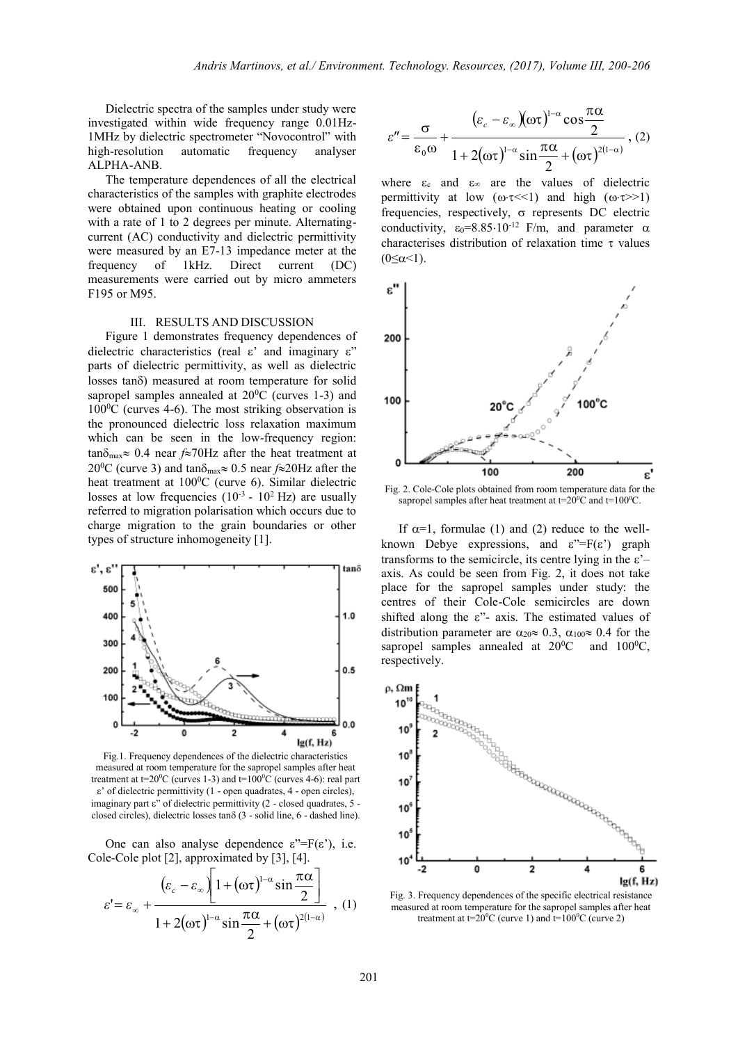Dielectric spectra of the samples under study were investigated within wide frequency range 0.01Hz-1MHz by dielectric spectrometer "Novocontrol" with high-resolution automatic frequency analyser ALPHA-ANB.

The temperature dependences of all the electrical characteristics of the samples with graphite electrodes were obtained upon continuous heating or cooling with a rate of 1 to 2 degrees per minute. Alternatingcurrent (AC) conductivity and dielectric permittivity were measured by an E7-13 impedance meter at the frequency of 1kHz. Direct current (DC) measurements were carried out by micro ammeters F195 or M95.

#### III. RESULTS AND DISCUSSION

Figure 1 demonstrates frequency dependences of dielectric characteristics (real  $\varepsilon$ ' and imaginary  $\varepsilon$ '' parts of dielectric permittivity, as well as dielectric losses tanô) measured at room temperature for solid sapropel samples annealed at  $20^{\circ}$ C (curves 1-3) and  $100\textdegree$ C (curves 4-6). The most striking observation is the pronounced dielectric loss relaxation maximum which can be seen in the low-frequency region:  $tan\delta_{\text{max}} \approx 0.4$  near  $f \approx 70$ Hz after the heat treatment at 20<sup>o</sup>C (curve 3) and tan $\delta_{\text{max}} \approx 0.5$  near  $f \approx 20$ Hz after the heat treatment at  $100^{\circ}$ C (curve 6). Similar dielectric losses at low frequencies  $(10^{-3} - 10^{2} \text{ Hz})$  are usually referred to migration polarisation which occurs due to charge migration to the grain boundaries or other types of structure inhomogeneity [1].



Fig.1. Frequency dependences of the dielectric characteristics measured at room temperature for the sapropel samples after heat treatment at t=20 $^{\circ}$ C (curves 1-3) and t=100 $^{\circ}$ C (curves 4-6): real part  $\varepsilon$ ' of dielectric permittivity (1 - open quadrates, 4 - open circles), imaginary part  $\varepsilon$ " of dielectric permittivity (2 - closed quadrates, 5 closed circles), dielectric losses tan $\delta$  (3 - solid line, 6 - dashed line).

One can also analyse dependence  $\varepsilon$ "=F( $\varepsilon$ "), i.e. Cole-Cole plot [2], approximated by [3], [4].

$$
\varepsilon = \varepsilon_{\infty} + \frac{(\varepsilon_{c} - \varepsilon_{\infty}) \left[ 1 + (\omega \tau)^{1-\alpha} \sin \frac{\pi \alpha}{2} \right]}{1 + 2(\omega \tau)^{1-\alpha} \sin \frac{\pi \alpha}{2} + (\omega \tau)^{2(1-\alpha)}}, (1)
$$

$$
\varepsilon'' = \frac{\sigma}{\varepsilon_0 \omega} + \frac{(\varepsilon_c - \varepsilon_\infty)(\omega \tau)^{1-\alpha} \cos \frac{\pi \alpha}{2}}{1 + 2(\omega \tau)^{1-\alpha} \sin \frac{\pi \alpha}{2} + (\omega \tau)^{2(1-\alpha)}}, (2)
$$

where  $\varepsilon_c$  and  $\varepsilon_{\infty}$  are the values of dielectric permittivity at low  $(\omega \tau \ll 1)$  and high  $(\omega \tau \gg 1)$ frequencies, respectively,  $\sigma$  represents DC electric conductivity,  $\varepsilon_0 = 8.85 \cdot 10^{-12}$  F/m, and parameter  $\alpha$ characterises distribution of relaxation time  $\tau$  values  $(0 \le \alpha \le 1)$ .



Fig. 2. Cole-Cole plots obtained from room temperature data for the sapropel samples after heat treatment at  $t=20^0C$  and  $t=100^0C$ .

If  $\alpha=1$ , formulae (1) and (2) reduce to the wellknown Debye expressions, and  $\varepsilon$ "=F( $\varepsilon$ ) graph transforms to the semicircle, its centre lying in the  $\varepsilon$ '– axis. As could be seen from Fig. 2, it does not take place for the sapropel samples under study: the centres of their Cole-Cole semicircles are down shifted along the  $\varepsilon$ "- axis. The estimated values of distribution parameter are  $\alpha_{20} \approx 0.3$ ,  $\alpha_{100} \approx 0.4$  for the sapropel samples annealed at  $20^0C$  and  $100^0C$ , respectively.



Fig. 3. Frequency dependences of the specific electrical resistance measured at room temperature for the sapropel samples after heat treatment at t= $20^{\circ}$ C (curve 1) and t= $100^{\circ}$ C (curve 2)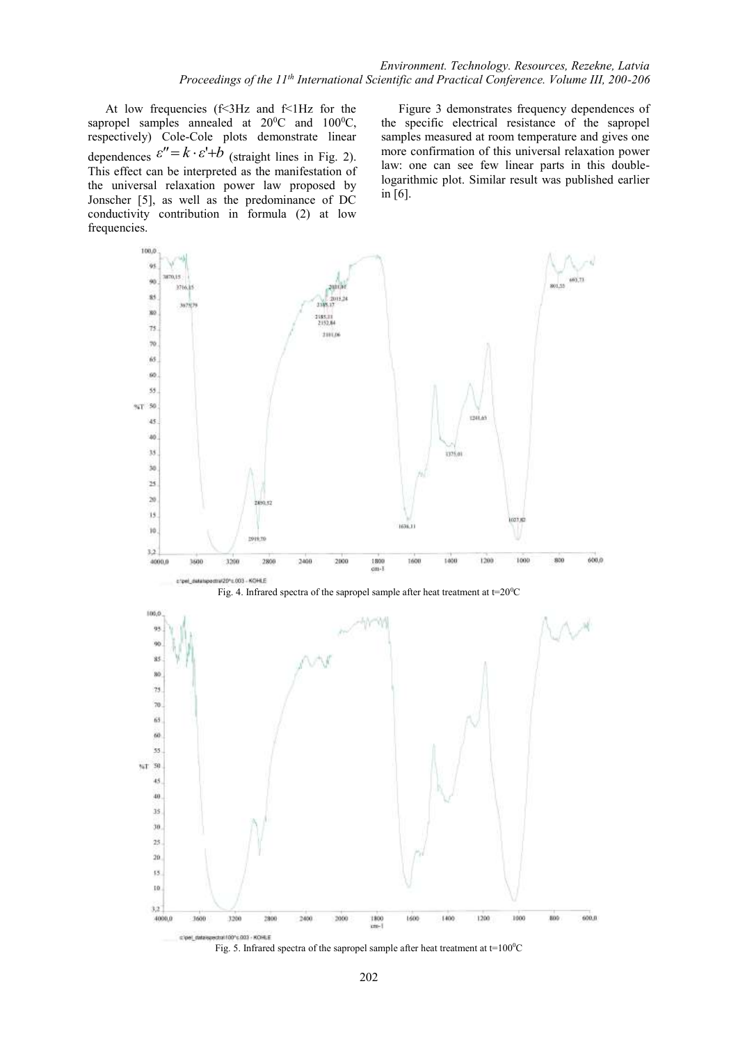At low frequencies (f<3Hz and f<1Hz for the sapropel samples annealed at  $20^0C$  and  $100^0C$ , respectively) Cole-Cole plots demonstrate linear dependences  $\varepsilon'' = k \cdot \varepsilon' + b$  (straight lines in Fig. 2). This effect can be interpreted as the manifestation of the universal relaxation power law proposed by Jonscher [5], as well as the predominance of DC conductivity contribution in formula (2) at low frequencies.

Figure 3 demonstrates frequency dependences of the specific electrical resistance of the sapropel samples measured at room temperature and gives one more confirmation of this universal relaxation power law: one can see few linear parts in this doublelogarithmic plot. Similar result was published earlier in [6].



Fig. 5. Infrared spectra of the sapropel sample after heat treatment at t=100 $^{\circ}$ C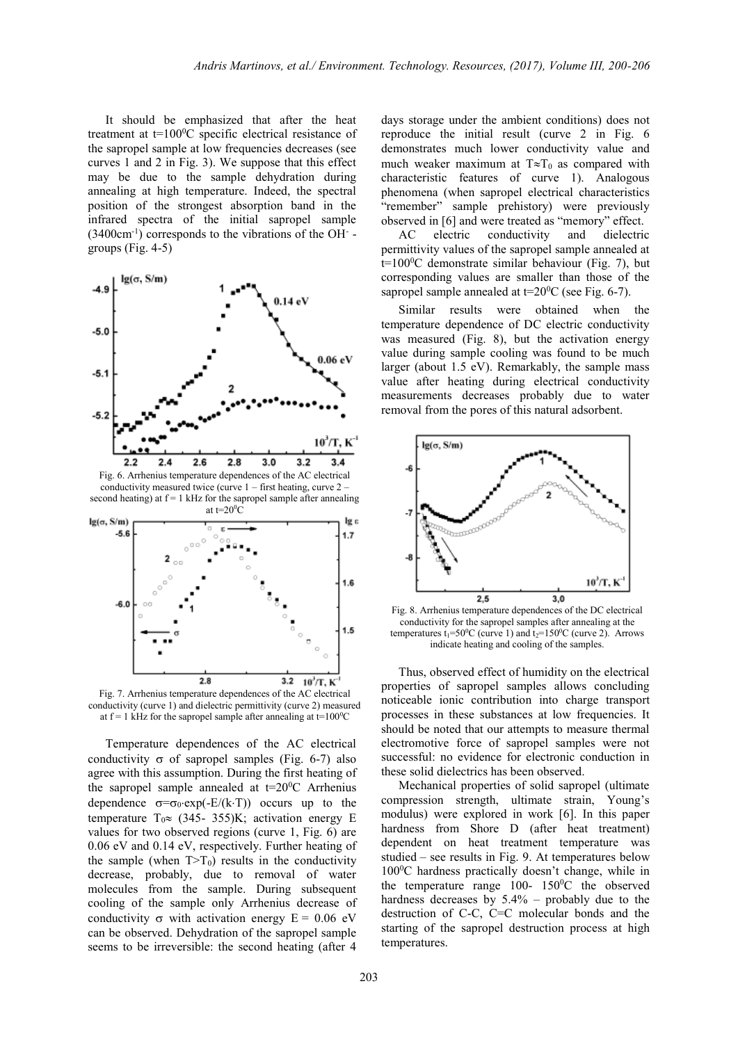It should be emphasized that after the heat treatment at  $t=100^{\circ}$ C specific electrical resistance of the sapropel sample at low frequencies decreases (see curves 1 and 2 in Fig. 3). We suppose that this effect may be due to the sample dehydration during annealing at high temperature. Indeed, the spectral position of the strongest absorption band in the infrared spectra of the initial sapropel sample  $(3400 \text{cm}^{-1})$  corresponds to the vibrations of the OH  $\overline{\phantom{a}}$ groups (Fig. 4-5)





Temperature dependences of the AC electrical conductivity  $\sigma$  of sapropel samples (Fig. 6-7) also agree with this assumption. During the first heating of the sapropel sample annealed at  $t=20^0C$  Arrhenius dependence  $\sigma = \sigma_0 \cdot \exp(-E/(k \cdot T))$  occurs up to the temperature  $T_0 \approx (345 - 355)K$ ; activation energy E values for two observed regions (curve 1, Fig. 6) are 0.06 eV and 0.14 eV, respectively. Further heating of the sample (when  $T>T_0$ ) results in the conductivity decrease, probably, due to removal of water molecules from the sample. During subsequent cooling of the sample only Arrhenius decrease of conductivity  $\sigma$  with activation energy  $E = 0.06$  eV can be observed. Dehydration of the sapropel sample seems to be irreversible: the second heating (after 4

days storage under the ambient conditions) does not reproduce the initial result (curve 2 in Fig. 6 demonstrates much lower conductivity value and much weaker maximum at  $T \approx T_0$  as compared with characteristic features of curve 1). Analogous phenomena (when sapropel electrical characteristics "remember" sample prehistory) were previously observed in [6] and were treated as "memory" effect.

AC electric conductivity and dielectric permittivity values of the sapropel sample annealed at  $t=100^{\circ}$ C demonstrate similar behaviour (Fig. 7), but corresponding values are smaller than those of the sapropel sample annealed at  $t=20^0C$  (see Fig. 6-7).

Similar results were obtained when the temperature dependence of DC electric conductivity was measured (Fig. 8), but the activation energy value during sample cooling was found to be much larger (about 1.5 eV). Remarkably, the sample mass value after heating during electrical conductivity measurements decreases probably due to water removal from the pores of this natural adsorbent.



Fig. 8. Arrhenius temperature dependences of the DC electrical conductivity for the sapropel samples after annealing at the temperatures  $t_1 = 50^\circ$ C (curve 1) and  $t_2 = 150^\circ$ C (curve 2). Arrows indicate heating and cooling of the samples.

Thus, observed effect of humidity on the electrical properties of sapropel samples allows concluding noticeable ionic contribution into charge transport processes in these substances at low frequencies. It should be noted that our attempts to measure thermal electromotive force of sapropel samples were not successful: no evidence for electronic conduction in these solid dielectrics has been observed.

Mechanical properties of solid sapropel (ultimate compression strength, ultimate strain, Young's modulus) were explored in work [6]. In this paper hardness from Shore D (after heat treatment) dependent on heat treatment temperature was studied – see results in Fig. 9. At temperatures below  $100^{\circ}$ C hardness practically doesn't change, while in the temperature range  $100-150$ <sup>o</sup>C the observed hardness decreases by 5.4% – probably due to the destruction of C-C, C=C molecular bonds and the starting of the sapropel destruction process at high temperatures.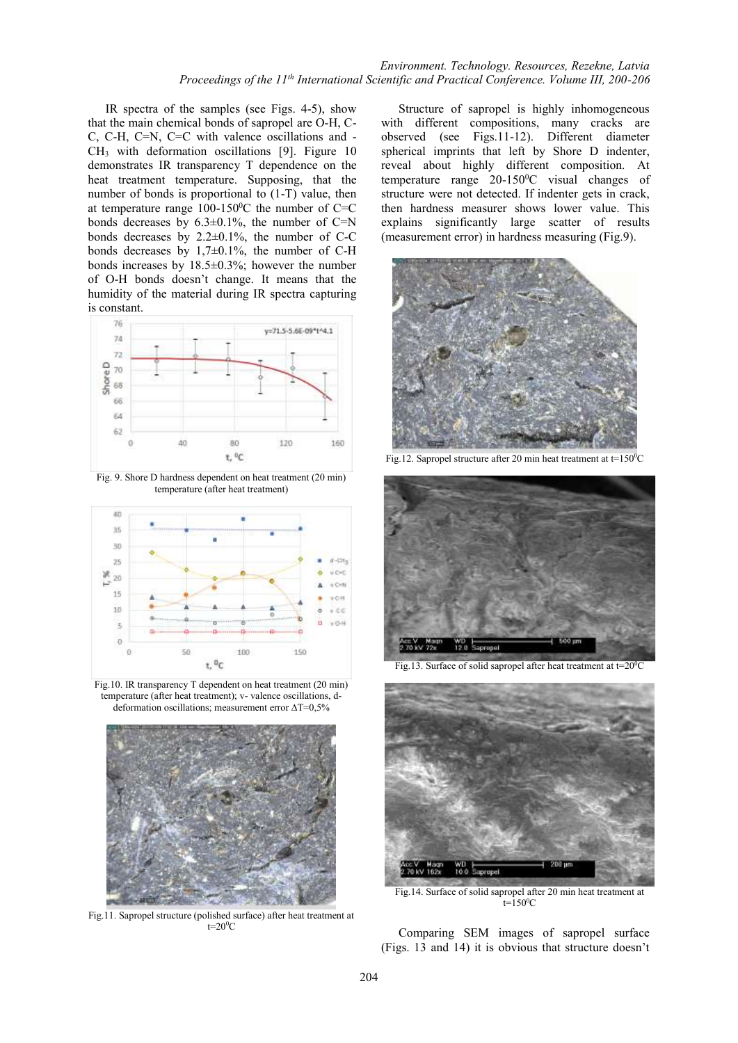## *Environment. Technology. Resources, Rezekne, Latvia Proceedings of the 11th International Scientific and Practical Conference. Volume III, 200-206*

IR spectra of the samples (see Figs. 4-5), show that the main chemical bonds of sapropel are O-H, C-C, C-H, C=N, C=C with valence oscillations and - CH<sup>3</sup> with deformation oscillations [9]. Figure 10 demonstrates IR transparency T dependence on the heat treatment temperature. Supposing, that the number of bonds is proportional to (1-T) value, then at temperature range  $100-150$ <sup>o</sup>C the number of C=C bonds decreases by  $6.3\pm0.1\%$ , the number of C=N bonds decreases by 2.2±0.1%, the number of C-C bonds decreases by 1,7±0.1%, the number of C-H bonds increases by 18.5±0.3%; however the number of O-H bonds doesn't change. It means that the humidity of the material during IR spectra capturing is constant.



Fig. 9. Shore D hardness dependent on heat treatment (20 min) temperature (after heat treatment)



Fig.10. IR transparency T dependent on heat treatment (20 min) temperature (after heat treatment); v- valence oscillations, ddeformation oscillations; measurement error  $\Delta T=0,5\%$ 



Fig.11. Sapropel structure (polished surface) after heat treatment at  $t=20^0C$ 

Structure of sapropel is highly inhomogeneous with different compositions, many cracks are observed (see Figs.11-12). Different diameter spherical imprints that left by Shore D indenter, reveal about highly different composition. At temperature range 20-150°C visual changes of structure were not detected. If indenter gets in crack, then hardness measurer shows lower value. This explains significantly large scatter of results (measurement error) in hardness measuring (Fig.9).



Fig.12. Sapropel structure after 20 min heat treatment at  $t=150^{\circ}$ C



Fig.13. Surface of solid sapropel after heat treatment at  $t=20^{\circ}C$ 



Fig.14. Surface of solid sapropel after 20 min heat treatment at  $t=150^{\circ}C$ 

Comparing SEM images of sapropel surface (Figs. 13 and 14) it is obvious that structure doesn't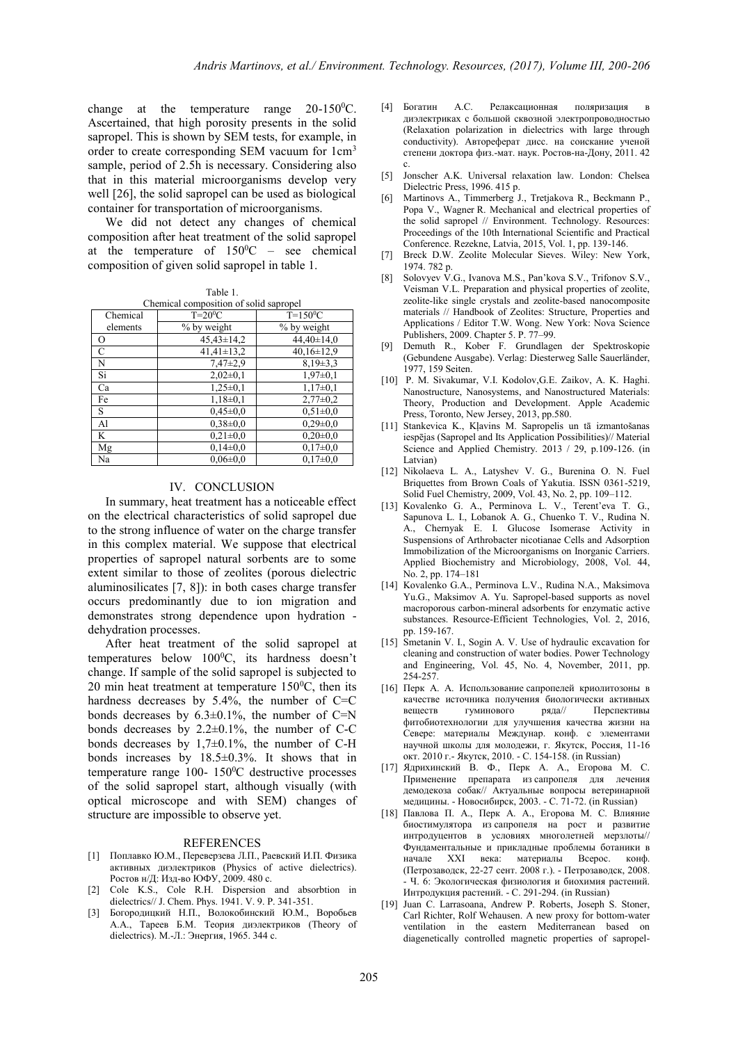change at the temperature range  $20-150^{\circ}$ C. Ascertained, that high porosity presents in the solid sapropel. This is shown by SEM tests, for example, in order to create corresponding SEM vacuum for 1cm<sup>3</sup> sample, period of 2.5h is necessary. Considering also that in this material microorganisms develop very well [26], the solid sapropel can be used as biological container for transportation of microorganisms.

We did not detect any changes of chemical composition after heat treatment of the solid sapropel at the temperature of  $150^{\circ}$ C – see chemical composition of given solid sapropel in table 1.

Table 1.

| Chemical composition of solid sapropel |                |                  |
|----------------------------------------|----------------|------------------|
| Chemical                               | $T=20^0C$      | $T=150^0C$       |
| elements                               | % by weight    | % by weight      |
| $\circ$                                | $45,43\pm14,2$ | $44,40\pm14,0$   |
| $\mathsf{C}$                           | $41,41\pm13,2$ | $40,16 \pm 12.9$ |
| N                                      | $7,47\pm2,9$   | $8,19\pm3,3$     |
| Si                                     | $2,02\pm0,1$   | $1,97\pm0,1$     |
| Ca                                     | $1,25\pm0,1$   | $1,17\pm0,1$     |
| Fe                                     | $1,18\pm0,1$   | $2,77\pm0.2$     |
| S                                      | $0.45 \pm 0.0$ | $0.51 \pm 0.0$   |
| Al                                     | $0.38 \pm 0.0$ | $0,29\pm0,0$     |
| K                                      | $0,21\pm0,0$   | $0,20\pm0,0$     |
| Mg                                     | $0.14 \pm 0.0$ | $0,17\pm0,0$     |
| Na                                     | $0.06 \pm 0.0$ | $0.17 \pm 0.0$   |

#### IV. CONCLUSION

In summary, heat treatment has a noticeable effect on the electrical characteristics of solid sapropel due to the strong influence of water on the charge transfer in this complex material. We suppose that electrical properties of sapropel natural sorbents are to some extent similar to those of zeolites (porous dielectric aluminosilicates [7, 8]): in both cases charge transfer occurs predominantly due to ion migration and demonstrates strong dependence upon hydration dehydration processes.

After heat treatment of the solid sapropel at temperatures below  $100^{\circ}$ C, its hardness doesn't change. If sample of the solid sapropel is subjected to 20 min heat treatment at temperature  $150^{\circ}$ C, then its hardness decreases by 5.4%, the number of C=C bonds decreases by 6.3±0.1%, the number of C=N bonds decreases by 2.2±0.1%, the number of C-C bonds decreases by 1,7±0.1%, the number of C-H bonds increases by 18.5±0.3%. It shows that in temperature range 100- 150 <sup>0</sup>C destructive processes of the solid sapropel start, although visually (with optical microscope and with SEM) changes of structure are impossible to observe yet.

#### REFERENCES

- [1] Поплавко Ю.М., Переверзева Л.П., Раевский И.П. Физика активных диэлектриков (Physics of active dielectrics). Ростов н/Д: Изд-во ЮФУ, 2009. 480 с.
- [2] Cole K.S., Cole R.H. Dispersion and absorbtion in dielectrics// J. Chem. Phys. 1941. V. 9. P. 341-351.
- [3] Богородицкий Н.П., Волокобинский Ю.М., Воробьев А.А., Тареев Б.М. Теория диэлектриков (Theory of dielectrics). М.-Л.: Энергия, 1965. 344 с.
- [4] Богатин А.С. Релаксационная поляризация диэлектриках с большой сквозной электропроводностью (Relaxation polarization in dielectrics with large through conductivity). Автореферат дисс. на соискание ученой степени доктора физ.-мат. наук. Ростов-на-Дону, 2011. 42 с.
- [5] Jonscher A.K. Universal relaxation law. London: Chelsea Dielectric Press, 1996. 415 p.
- [6] Martinovs A., Timmerberg J., Tretjakova R., Beckmann P., Popa V., Wagner R. Mechanical and electrical properties of the solid sapropel // Environment. Technology. Resources: Proceedings of the 10th International Scientific and Practical Conference. Rezekne, Latvia, 2015, Vol. 1, pp. 139-146.
- [7] Breck D.W. Zeolite Molecular Sieves. Wiley: New York, 1974. 782 p.
- [8] Solovyev V.G., Ivanova M.S., Pan'kova S.V., Trifonov S.V., Veisman V.L. Preparation and physical properties of zeolite, zeolite-like single crystals and zeolite-based nanocomposite materials // Handbook of Zeolites: Structure, Properties and Applications / Editor T.W. Wong. New York: Nova Science Publishers, 2009. Chapter 5. P. 77–99.
- [9] Demuth R., Kober F. Grundlagen der Spektroskopie (Gebundene Ausgabe). Verlag: Diesterweg Salle Sauerländer, 1977, 159 Seiten.
- [10] P. M. Sivakumar, V.I. Kodolov,G.E. Zaikov, A. K. Haghi. Nanostructure, Nanosystems, and Nanostructured Materials: Theory, Production and Development. Apple Academic Press, Toronto, New Jersey, 2013, pp.580.
- [11] Stankevica K., Kļavins M. Sapropelis un tā izmantošanas iespējas (Sapropel and Its Application Possibilities)// Material Science and Applied Chemistry. 2013 / 29, p.109-126. (in Latvian)
- [12] Nikolaeva L. A., Latyshev V. G., Burenina O. N. Fuel Briquettes from Brown Coals of Yakutia. ISSN 0361-5219, Solid Fuel Chemistry, 2009, Vol. 43, No. 2, pp. 109–112.
- [13] Kovalenko G. A., Perminova L. V., Terent'eva T. G., Sapunova L. I., Lobanok A. G., Chuenko T. V., Rudina N. A., Chernyak E. I. Glucose Isomerase Activity in Suspensions of Arthrobacter nicotianae Cells and Adsorption Immobilization of the Microorganisms on Inorganic Carriers. Applied Biochemistry and Microbiology, 2008, Vol. 44, No. 2, pp. 174–181
- [14] Kovalenko G.A., Perminova L.V., Rudina N.A., Maksimova Yu.G., Maksimov A. Yu. Sapropel-based supports as novel macroporous carbon-mineral adsorbents for enzymatic active substances. Resource-Efficient Technologies, Vol. 2, 2016, pp. 159-167.
- [15] Smetanin V. I., Sogin A. V. Use of hydraulic excavation for cleaning and construction of water bodies. Power Technology and Engineering, Vol. 45, No. 4, November, 2011, pp. 254-257.
- [16] Перк А. А. Использование сапропелей криолитозоны в качестве источника получения биологически активных веществ гуминового ряда// Перспективы веществ гуминового ряда// Перспективы фитобиотехнологии для улучшения качества жизни на Севере: материалы Междунар. конф. с элементами научной школы для молодежи, г. Якутск, Россия, 11-16 окт. 2010 г.- Якутск, 2010. - С. 154-158. (in Russian)
- [17] Ядрихинский В. Ф., Перк А. А., Егорова М. С. Применение препарата из сапропеля для лечения демодекоза собак// Актуальные вопросы ветеринарной медицины. - Новосибирск, 2003. - С. 71-72. (in Russian)
- [18] Павлова П. А., Перк А. А., Егорова М. С. Влияние биостимулятора из сапропеля на рост и развитие интродуцентов в условиях многолетней мерзлоты// Фундаментальные и прикладные проблемы ботаники в начале XXI века: материалы Всерос. конф. (Петрозаводск, 22-27 сент. 2008 г.). - Петрозаводск, 2008. - Ч. 6: Экологическая физиология и биохимия растений. Интродукция растений. - С. 291-294. (in Russian)
- [19] Juan C. Larrasoana, Andrew P. Roberts, Joseph S. Stoner, Carl Richter, Rolf Wehausen. A new proxy for bottom-water ventilation in the eastern Mediterranean based on diagenetically controlled magnetic properties of sapropel-